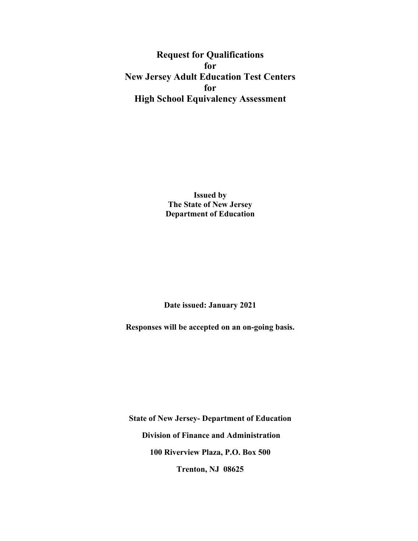**Request for Qualifications for New Jersey Adult Education Test Centers for High School Equivalency Assessment**

> **Issued by The State of New Jersey Department of Education**

**Date issued: January 2021** 

**Responses will be accepted on an on-going basis.** 

**State of New Jersey- Department of Education Division of Finance and Administration 100 Riverview Plaza, P.O. Box 500 Trenton, NJ 08625**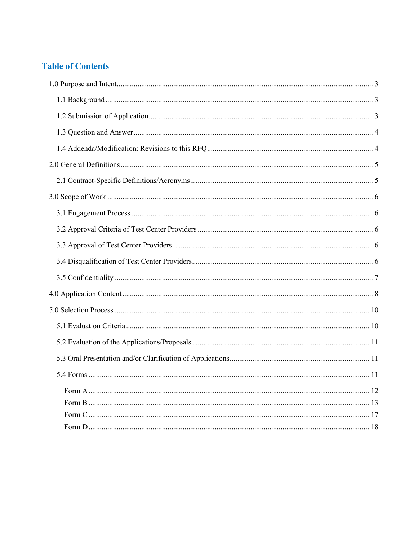# **Table of Contents**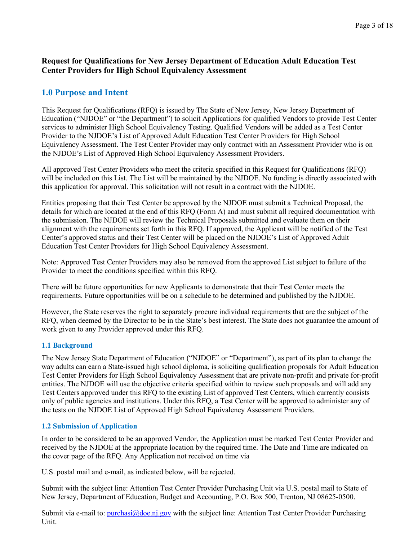# **Request for Qualifications for New Jersey Department of Education Adult Education Test Center Providers for High School Equivalency Assessment**

# <span id="page-2-0"></span>**1.0 Purpose and Intent**

This Request for Qualifications (RFQ) is issued by The State of New Jersey, New Jersey Department of Education ("NJDOE" or "the Department") to solicit Applications for qualified Vendors to provide Test Center services to administer High School Equivalency Testing. Qualified Vendors will be added as a Test Center Provider to the NJDOE's List of Approved Adult Education Test Center Providers for High School Equivalency Assessment. The Test Center Provider may only contract with an Assessment Provider who is on the NJDOE's List of Approved High School Equivalency Assessment Providers.

All approved Test Center Providers who meet the criteria specified in this Request for Qualifications (RFQ) will be included on this List. The List will be maintained by the NJDOE. No funding is directly associated with this application for approval. This solicitation will not result in a contract with the NJDOE.

Entities proposing that their Test Center be approved by the NJDOE must submit a Technical Proposal, the details for which are located at the end of this RFQ (Form A) and must submit all required documentation with the submission. The NJDOE will review the Technical Proposals submitted and evaluate them on their alignment with the requirements set forth in this RFQ. If approved, the Applicant will be notified of the Test Center's approved status and their Test Center will be placed on the NJDOE's List of Approved Adult Education Test Center Providers for High School Equivalency Assessment.

Note: Approved Test Center Providers may also be removed from the approved List subject to failure of the Provider to meet the conditions specified within this RFQ.

There will be future opportunities for new Applicants to demonstrate that their Test Center meets the requirements. Future opportunities will be on a schedule to be determined and published by the NJDOE.

However, the State reserves the right to separately procure individual requirements that are the subject of the RFQ, when deemed by the Director to be in the State's best interest. The State does not guarantee the amount of work given to any Provider approved under this RFQ.

## <span id="page-2-1"></span>**1.1 Background**

The New Jersey State Department of Education ("NJDOE" or "Department"), as part of its plan to change the way adults can earn a State-issued high school diploma, is soliciting qualification proposals for Adult Education Test Center Providers for High School Equivalency Assessment that are private non-profit and private for-profit entities. The NJDOE will use the objective criteria specified within to review such proposals and will add any Test Centers approved under this RFQ to the existing List of approved Test Centers, which currently consists only of public agencies and institutions. Under this RFQ, a Test Center will be approved to administer any of the tests on the NJDOE List of Approved High School Equivalency Assessment Providers.

# <span id="page-2-2"></span>**1.2 Submission of Application**

In order to be considered to be an approved Vendor, the Application must be marked Test Center Provider and received by the NJDOE at the appropriate location by the required time. The Date and Time are indicated on the cover page of the RFQ. Any Application not received on time via

U.S. postal mail and e-mail, as indicated below, will be rejected.

Submit with the subject line: Attention Test Center Provider Purchasing Unit via U.S. postal mail to State of New Jersey, Department of Education, Budget and Accounting, P.O. Box 500, Trenton, NJ 08625-0500.

Submit via e-mail to: [purchasi@doe.nj.gov](mailto:purchasi@doe.nj.gov) with the subject line: Attention Test Center Provider Purchasing Unit.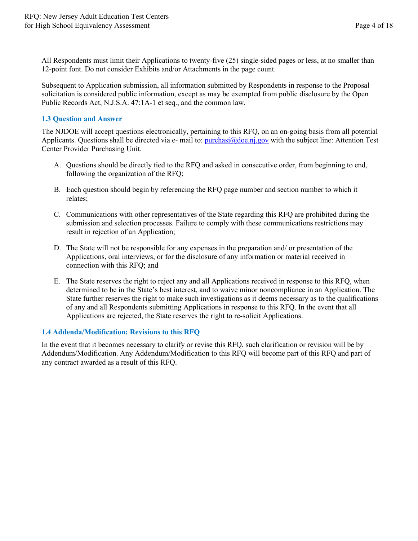All Respondents must limit their Applications to twenty-five (25) single-sided pages or less, at no smaller than 12-point font. Do not consider Exhibits and/or Attachments in the page count.

Subsequent to Application submission, all information submitted by Respondents in response to the Proposal solicitation is considered public information, except as may be exempted from public disclosure by the Open Public Records Act, N.J.S.A. 47:1A-1 et seq., and the common law.

## <span id="page-3-0"></span>**1.3 Question and Answer**

The NJDOE will accept questions electronically, pertaining to this RFQ, on an on-going basis from all potential Applicants. Questions shall be directed via e- mail to:  $\frac{pure\text{hasi}}{ab\text{e-ni}}$ , gov with the subject line: Attention Test Center Provider Purchasing Unit.

- A. Questions should be directly tied to the RFQ and asked in consecutive order, from beginning to end, following the organization of the RFQ;
- B. Each question should begin by referencing the RFQ page number and section number to which it relates;
- C. Communications with other representatives of the State regarding this RFQ are prohibited during the submission and selection processes. Failure to comply with these communications restrictions may result in rejection of an Application;
- D. The State will not be responsible for any expenses in the preparation and/ or presentation of the Applications, oral interviews, or for the disclosure of any information or material received in connection with this RFQ; and
- E. The State reserves the right to reject any and all Applications received in response to this RFQ, when determined to be in the State's best interest, and to waive minor noncompliance in an Application. The State further reserves the right to make such investigations as it deems necessary as to the qualifications of any and all Respondents submitting Applications in response to this RFQ. In the event that all Applications are rejected, the State reserves the right to re-solicit Applications.

## <span id="page-3-1"></span>**1.4 Addenda/Modification: Revisions to this RFQ**

In the event that it becomes necessary to clarify or revise this RFQ, such clarification or revision will be by Addendum/Modification. Any Addendum/Modification to this RFQ will become part of this RFQ and part of any contract awarded as a result of this RFQ.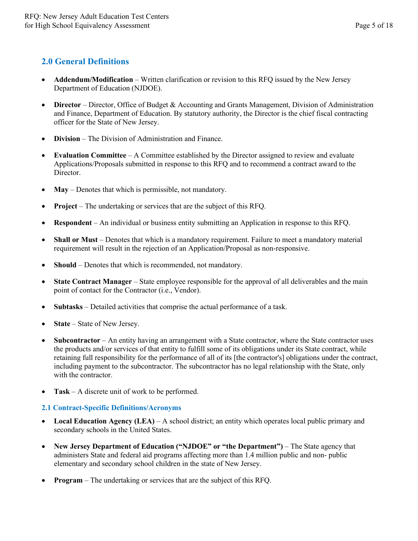# <span id="page-4-0"></span>**2.0 General Definitions**

- **Addendum/Modification** Written clarification or revision to this RFQ issued by the New Jersey Department of Education (NJDOE).
- **Director** Director, Office of Budget & Accounting and Grants Management, Division of Administration and Finance, Department of Education. By statutory authority, the Director is the chief fiscal contracting officer for the State of New Jersey.
- **Division** The Division of Administration and Finance.
- **Evaluation Committee** A Committee established by the Director assigned to review and evaluate Applications/Proposals submitted in response to this RFQ and to recommend a contract award to the Director.
- **May** Denotes that which is permissible, not mandatory.
- **Project** The undertaking or services that are the subject of this RFQ.
- **Respondent** An individual or business entity submitting an Application in response to this RFQ.
- **Shall or Must** Denotes that which is a mandatory requirement. Failure to meet a mandatory material requirement will result in the rejection of an Application/Proposal as non-responsive.
- **Should** Denotes that which is recommended, not mandatory.
- **State Contract Manager** State employee responsible for the approval of all deliverables and the main point of contact for the Contractor (i.e., Vendor).
- **Subtasks** Detailed activities that comprise the actual performance of a task.
- **State** State of New Jersey.
- **Subcontractor** An entity having an arrangement with a State contractor, where the State contractor uses the products and/or services of that entity to fulfill some of its obligations under its State contract, while retaining full responsibility for the performance of all of its [the contractor's] obligations under the contract, including payment to the subcontractor. The subcontractor has no legal relationship with the State, only with the contractor.
- **Task** A discrete unit of work to be performed.

## <span id="page-4-1"></span>**2.1 Contract-Specific Definitions/Acronyms**

- **Local Education Agency (LEA)** A school district; an entity which operates local public primary and secondary schools in the United States.
- **New Jersey Department of Education ("NJDOE" or "the Department")** The State agency that administers State and federal aid programs affecting more than 1.4 million public and non- public elementary and secondary school children in the state of New Jersey.
- **Program** The undertaking or services that are the subject of this RFQ.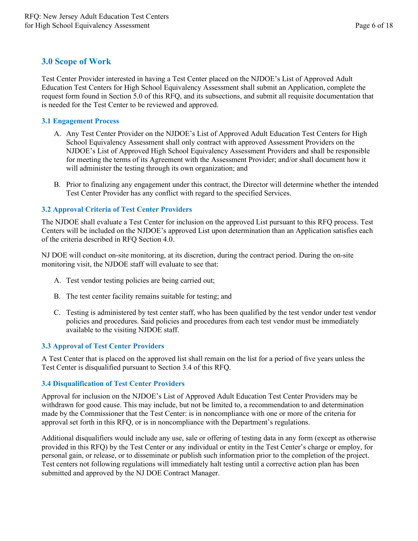# <span id="page-5-0"></span>**3.0 Scope of Work**

Test Center Provider interested in having a Test Center placed on the NJDOE's List of Approved Adult Education Test Centers for High School Equivalency Assessment shall submit an Application, complete the request form found in Section 5.0 of this RFQ, and its subsections, and submit all requisite documentation that is needed for the Test Center to be reviewed and approved.

## <span id="page-5-1"></span>**3.1 Engagement Process**

- A. Any Test Center Provider on the NJDOE's List of Approved Adult Education Test Centers for High School Equivalency Assessment shall only contract with approved Assessment Providers on the NJDOE's List of Approved High School Equivalency Assessment Providers and shall be responsible for meeting the terms of its Agreement with the Assessment Provider; and/or shall document how it will administer the testing through its own organization; and
- B. Prior to finalizing any engagement under this contract, the Director will determine whether the intended Test Center Provider has any conflict with regard to the specified Services.

# <span id="page-5-2"></span>**3.2 Approval Criteria of Test Center Providers**

The NJDOE shall evaluate a Test Center for inclusion on the approved List pursuant to this RFQ process. Test Centers will be included on the NJDOE's approved List upon determination than an Application satisfies each of the criteria described in RFQ Section 4.0.

NJ DOE will conduct on-site monitoring, at its discretion, during the contract period. During the on-site monitoring visit, the NJDOE staff will evaluate to see that:

- A. Test vendor testing policies are being carried out;
- B. The test center facility remains suitable for testing; and
- C. Testing is administered by test center staff, who has been qualified by the test vendor under test vendor policies and procedures. Said policies and procedures from each test vendor must be immediately available to the visiting NJDOE staff.

# <span id="page-5-3"></span>**3.3 Approval of Test Center Providers**

A Test Center that is placed on the approved list shall remain on the list for a period of five years unless the Test Center is disqualified pursuant to Section 3.4 of this RFQ.

## <span id="page-5-4"></span>**3.4 Disqualification of Test Center Providers**

Approval for inclusion on the NJDOE's List of Approved Adult Education Test Center Providers may be withdrawn for good cause. This may include, but not be limited to, a recommendation to and determination made by the Commissioner that the Test Center: is in noncompliance with one or more of the criteria for approval set forth in this RFQ, or is in noncompliance with the Department's regulations.

Additional disqualifiers would include any use, sale or offering of testing data in any form (except as otherwise provided in this RFQ) by the Test Center or any individual or entity in the Test Center's charge or employ, for personal gain, or release, or to disseminate or publish such information prior to the completion of the project. Test centers not following regulations will immediately halt testing until a corrective action plan has been submitted and approved by the NJ DOE Contract Manager.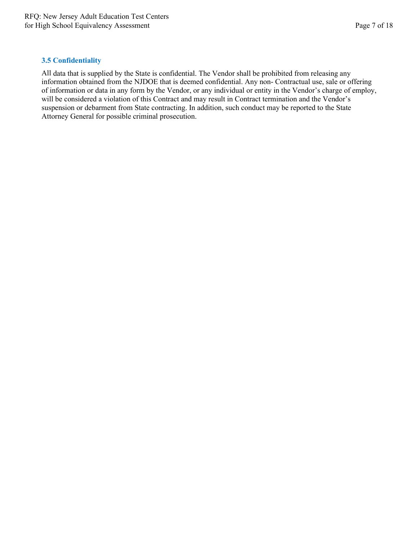#### <span id="page-6-0"></span>**3.5 Confidentiality**

All data that is supplied by the State is confidential. The Vendor shall be prohibited from releasing any information obtained from the NJDOE that is deemed confidential. Any non- Contractual use, sale or offering of information or data in any form by the Vendor, or any individual or entity in the Vendor's charge of employ, will be considered a violation of this Contract and may result in Contract termination and the Vendor's suspension or debarment from State contracting. In addition, such conduct may be reported to the State Attorney General for possible criminal prosecution.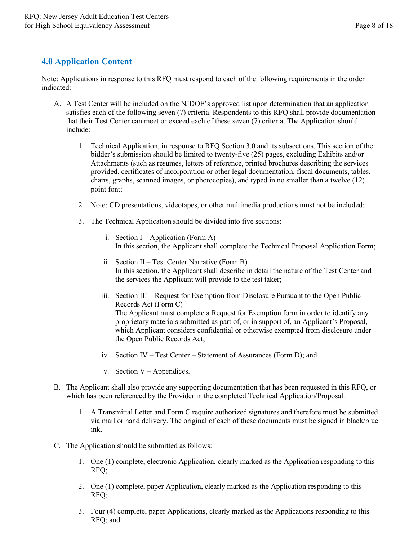# <span id="page-7-0"></span>**4.0 Application Content**

Note: Applications in response to this RFQ must respond to each of the following requirements in the order indicated:

- A. A Test Center will be included on the NJDOE's approved list upon determination that an application satisfies each of the following seven (7) criteria. Respondents to this RFQ shall provide documentation that their Test Center can meet or exceed each of these seven (7) criteria. The Application should include:
	- 1. Technical Application, in response to RFQ Section 3.0 and its subsections. This section of the bidder's submission should be limited to twenty-five (25) pages, excluding Exhibits and/or Attachments (such as resumes, letters of reference, printed brochures describing the services provided, certificates of incorporation or other legal documentation, fiscal documents, tables, charts, graphs, scanned images, or photocopies), and typed in no smaller than a twelve (12) point font;
	- 2. Note: CD presentations, videotapes, or other multimedia productions must not be included;
	- 3. The Technical Application should be divided into five sections:
		- i. Section  $I Application (Form A)$ In this section, the Applicant shall complete the Technical Proposal Application Form;
		- ii. Section II Test Center Narrative (Form B) In this section, the Applicant shall describe in detail the nature of the Test Center and the services the Applicant will provide to the test taker;
		- iii. Section III Request for Exemption from Disclosure Pursuant to the Open Public Records Act (Form C) The Applicant must complete a Request for Exemption form in order to identify any proprietary materials submitted as part of, or in support of, an Applicant's Proposal, which Applicant considers confidential or otherwise exempted from disclosure under the Open Public Records Act;
		- iv. Section IV Test Center Statement of Assurances (Form D); and
		- v. Section  $V -$  Appendices.
- B. The Applicant shall also provide any supporting documentation that has been requested in this RFQ, or which has been referenced by the Provider in the completed Technical Application/Proposal.
	- 1. A Transmittal Letter and Form C require authorized signatures and therefore must be submitted via mail or hand delivery. The original of each of these documents must be signed in black/blue ink.
- C. The Application should be submitted as follows:
	- 1. One (1) complete, electronic Application, clearly marked as the Application responding to this RFQ;
	- 2. One (1) complete, paper Application, clearly marked as the Application responding to this RFQ;
	- 3. Four (4) complete, paper Applications, clearly marked as the Applications responding to this RFQ; and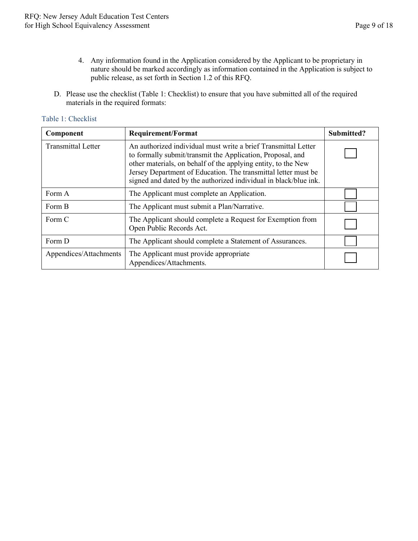- 4. Any information found in the Application considered by the Applicant to be proprietary in nature should be marked accordingly as information contained in the Application is subject to public release, as set forth in Section 1.2 of this RFQ.
- D. Please use the checklist (Table 1: Checklist) to ensure that you have submitted all of the required materials in the required formats:

|  | Table 1: Checklist |  |
|--|--------------------|--|
|  |                    |  |

| Component                 | <b>Requirement/Format</b>                                                                                                                                                                                                                                                                                                           | Submitted? |
|---------------------------|-------------------------------------------------------------------------------------------------------------------------------------------------------------------------------------------------------------------------------------------------------------------------------------------------------------------------------------|------------|
| <b>Transmittal Letter</b> | An authorized individual must write a brief Transmittal Letter<br>to formally submit/transmit the Application, Proposal, and<br>other materials, on behalf of the applying entity, to the New<br>Jersey Department of Education. The transmittal letter must be<br>signed and dated by the authorized individual in black/blue ink. |            |
| Form A                    | The Applicant must complete an Application.                                                                                                                                                                                                                                                                                         |            |
| Form B                    | The Applicant must submit a Plan/Narrative.                                                                                                                                                                                                                                                                                         |            |
| Form C                    | The Applicant should complete a Request for Exemption from<br>Open Public Records Act.                                                                                                                                                                                                                                              |            |
| Form D                    | The Applicant should complete a Statement of Assurances.                                                                                                                                                                                                                                                                            |            |
| Appendices/Attachments    | The Applicant must provide appropriate<br>Appendices/Attachments.                                                                                                                                                                                                                                                                   |            |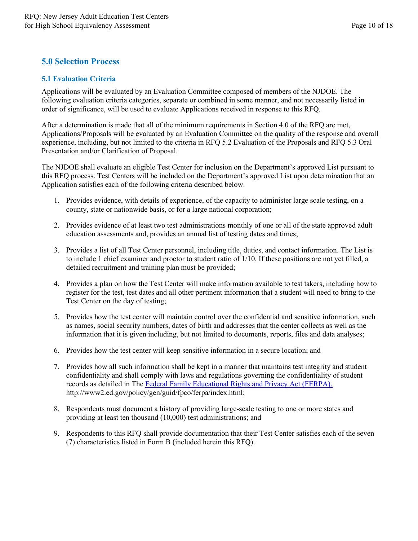# <span id="page-9-0"></span>**5.0 Selection Process**

## <span id="page-9-1"></span>**5.1 Evaluation Criteria**

Applications will be evaluated by an Evaluation Committee composed of members of the NJDOE. The following evaluation criteria categories, separate or combined in some manner, and not necessarily listed in order of significance, will be used to evaluate Applications received in response to this RFQ.

After a determination is made that all of the minimum requirements in Section 4.0 of the RFQ are met, Applications/Proposals will be evaluated by an Evaluation Committee on the quality of the response and overall experience, including, but not limited to the criteria in RFQ 5.2 Evaluation of the Proposals and RFQ 5.3 Oral Presentation and/or Clarification of Proposal.

The NJDOE shall evaluate an eligible Test Center for inclusion on the Department's approved List pursuant to this RFQ process. Test Centers will be included on the Department's approved List upon determination that an Application satisfies each of the following criteria described below.

- 1. Provides evidence, with details of experience, of the capacity to administer large scale testing, on a county, state or nationwide basis, or for a large national corporation;
- 2. Provides evidence of at least two test administrations monthly of one or all of the state approved adult education assessments and, provides an annual list of testing dates and times;
- 3. Provides a list of all Test Center personnel, including title, duties, and contact information. The List is to include 1 chief examiner and proctor to student ratio of 1/10. If these positions are not yet filled, a detailed recruitment and training plan must be provided;
- 4. Provides a plan on how the Test Center will make information available to test takers, including how to register for the test, test dates and all other pertinent information that a student will need to bring to the Test Center on the day of testing;
- 5. Provides how the test center will maintain control over the confidential and sensitive information, such as names, social security numbers, dates of birth and addresses that the center collects as well as the information that it is given including, but not limited to documents, reports, files and data analyses;
- 6. Provides how the test center will keep sensitive information in a secure location; and
- 7. Provides how all such information shall be kept in a manner that maintains test integrity and student confidentiality and shall comply with laws and regulations governing the confidentiality of student records as detailed in The [Federal Family Educational Rights and Privacy Act \(FERPA\).](https://www2.ed.gov/policy/gen/guid/fpco/ferpa/index.html) http://www2.ed.gov/policy/gen/guid/fpco/ferpa/index.html;
- 8. Respondents must document a history of providing large-scale testing to one or more states and providing at least ten thousand (10,000) test administrations; and
- 9. Respondents to this RFQ shall provide documentation that their Test Center satisfies each of the seven (7) characteristics listed in Form B (included herein this RFQ).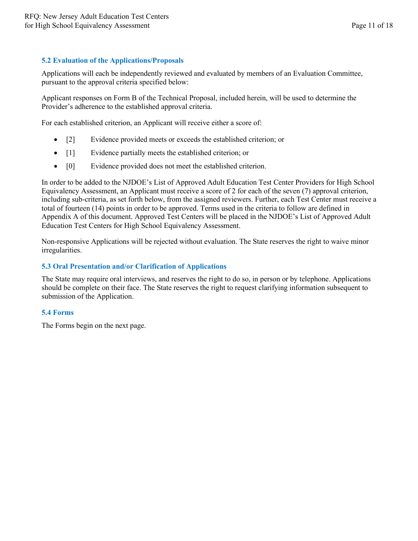#### <span id="page-10-0"></span>**5.2 Evaluation of the Applications/Proposals**

Applications will each be independently reviewed and evaluated by members of an Evaluation Committee, pursuant to the approval criteria specified below:

Applicant responses on Form B of the Technical Proposal, included herein, will be used to determine the Provider's adherence to the established approval criteria.

For each established criterion, an Applicant will receive either a score of:

- [2] Evidence provided meets or exceeds the established criterion; or
- [1] Evidence partially meets the established criterion; or
- [0] Evidence provided does not meet the established criterion.

In order to be added to the NJDOE's List of Approved Adult Education Test Center Providers for High School Equivalency Assessment, an Applicant must receive a score of 2 for each of the seven (7) approval criterion, including sub-criteria, as set forth below, from the assigned reviewers. Further, each Test Center must receive a total of fourteen (14) points in order to be approved. Terms used in the criteria to follow are defined in Appendix A of this document. Approved Test Centers will be placed in the NJDOE's List of Approved Adult Education Test Centers for High School Equivalency Assessment.

Non-responsive Applications will be rejected without evaluation. The State reserves the right to waive minor irregularities.

#### <span id="page-10-1"></span>**5.3 Oral Presentation and/or Clarification of Applications**

The State may require oral interviews, and reserves the right to do so, in person or by telephone. Applications should be complete on their face. The State reserves the right to request clarifying information subsequent to submission of the Application.

#### <span id="page-10-2"></span>**5.4 Forms**

The Forms begin on the next page.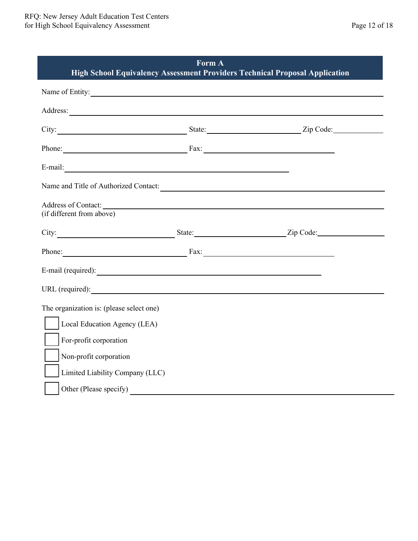<span id="page-11-0"></span>

| Form A<br>High School Equivalency Assessment Providers Technical Proposal Application                                                                                                                                         |  |                                                                          |  |  |
|-------------------------------------------------------------------------------------------------------------------------------------------------------------------------------------------------------------------------------|--|--------------------------------------------------------------------------|--|--|
| Name of Entity:                                                                                                                                                                                                               |  |                                                                          |  |  |
|                                                                                                                                                                                                                               |  |                                                                          |  |  |
|                                                                                                                                                                                                                               |  |                                                                          |  |  |
| Phone: Fax: Fax:                                                                                                                                                                                                              |  |                                                                          |  |  |
|                                                                                                                                                                                                                               |  |                                                                          |  |  |
| Name and Title of Authorized Contact:                                                                                                                                                                                         |  |                                                                          |  |  |
| Address of Contact: New York Contact: New York Contact:<br>(if different from above)                                                                                                                                          |  |                                                                          |  |  |
|                                                                                                                                                                                                                               |  | City: <u>City:</u> State: City: Zip Code: <u>City:</u> Zip Code: City: 2 |  |  |
| Phone: Fax: Fax:                                                                                                                                                                                                              |  |                                                                          |  |  |
| E-mail (required): example and the set of the set of the set of the set of the set of the set of the set of the set of the set of the set of the set of the set of the set of the set of the set of the set of the set of the |  |                                                                          |  |  |
| URL (required):                                                                                                                                                                                                               |  |                                                                          |  |  |
| The organization is: (please select one)                                                                                                                                                                                      |  |                                                                          |  |  |
| Local Education Agency (LEA)                                                                                                                                                                                                  |  |                                                                          |  |  |
| For-profit corporation                                                                                                                                                                                                        |  |                                                                          |  |  |
| Non-profit corporation                                                                                                                                                                                                        |  |                                                                          |  |  |
| Limited Liability Company (LLC)                                                                                                                                                                                               |  |                                                                          |  |  |
| Other (Please specify)                                                                                                                                                                                                        |  |                                                                          |  |  |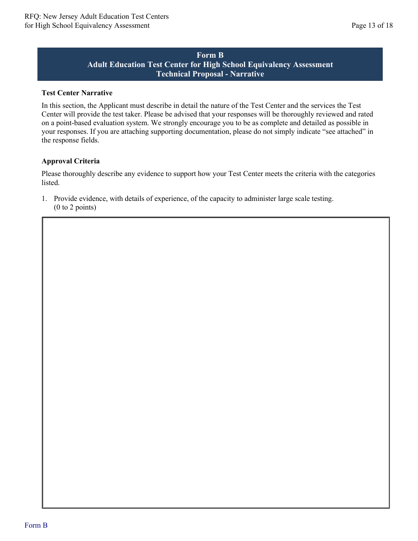# **Form B Adult Education Test Center for High School Equivalency Assessment Technical Proposal - Narrative**

#### <span id="page-12-0"></span>**Test Center Narrative**

In this section, the Applicant must describe in detail the nature of the Test Center and the services the Test Center will provide the test taker. Please be advised that your responses will be thoroughly reviewed and rated on a point-based evaluation system. We strongly encourage you to be as complete and detailed as possible in your responses. If you are attaching supporting documentation, please do not simply indicate "see attached" in the response fields.

## **Approval Criteria**

Please thoroughly describe any evidence to support how your Test Center meets the criteria with the categories listed.

1. Provide evidence, with details of experience, of the capacity to administer large scale testing. (0 to 2 points)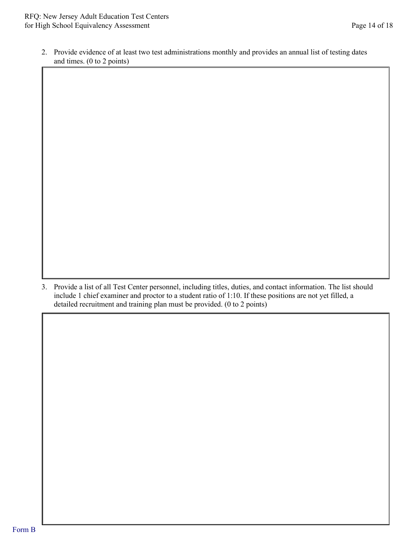2. Provide evidence of at least two test administrations monthly and provides an annual list of testing dates and times. (0 to 2 points)

3. Provide a list of all Test Center personnel, including titles, duties, and contact information. The list should include 1 chief examiner and proctor to a student ratio of 1:10. If these positions are not yet filled, a detailed recruitment and training plan must be provided. (0 to 2 points)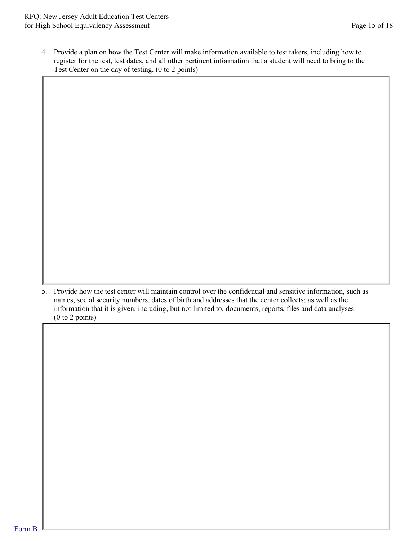4. Provide a plan on how the Test Center will make information available to test takers, including how to register for the test, test dates, and all other pertinent information that a student will need to bring to the Test Center on the day of testing. (0 to 2 points)

5. Provide how the test center will maintain control over the confidential and sensitive information, such as names, social security numbers, dates of birth and addresses that the center collects; as well as the information that it is given; including, but not limited to, documents, reports, files and data analyses. (0 to 2 points)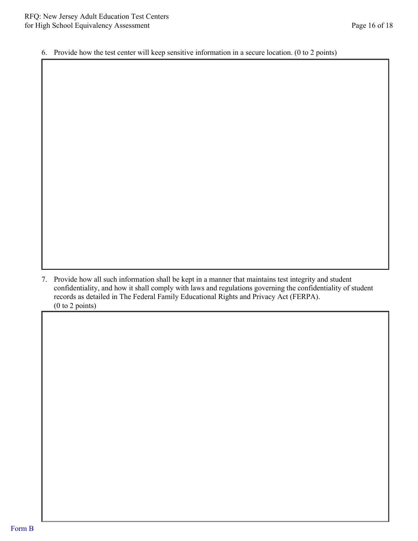6. Provide how the test center will keep sensitive information in a secure location. (0 to 2 points)

7. Provide how all such information shall be kept in a manner that maintains test integrity and student confidentiality, and how it shall comply with laws and regulations governing the confidentiality of student records as detailed in The Federal Family Educational Rights and Privacy Act (FERPA). (0 to 2 points)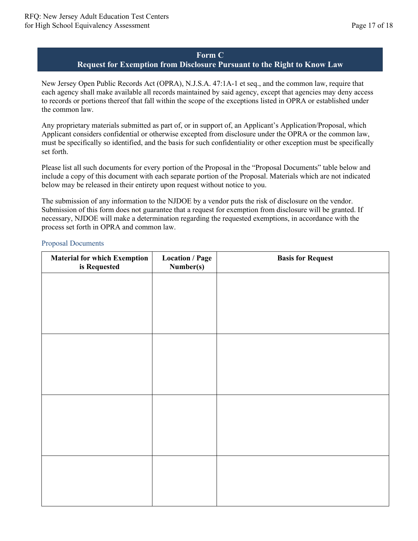# **Form C**

## **Request for Exemption from Disclosure Pursuant to the Right to Know Law**

<span id="page-16-0"></span>New Jersey Open Public Records Act (OPRA), N.J.S.A. 47:1A-1 et seq., and the common law, require that each agency shall make available all records maintained by said agency, except that agencies may deny access to records or portions thereof that fall within the scope of the exceptions listed in OPRA or established under the common law.

Any proprietary materials submitted as part of, or in support of, an Applicant's Application/Proposal, which Applicant considers confidential or otherwise excepted from disclosure under the OPRA or the common law, must be specifically so identified, and the basis for such confidentiality or other exception must be specifically set forth.

Please list all such documents for every portion of the Proposal in the "Proposal Documents" table below and include a copy of this document with each separate portion of the Proposal. Materials which are not indicated below may be released in their entirety upon request without notice to you.

The submission of any information to the NJDOE by a vendor puts the risk of disclosure on the vendor. Submission of this form does not guarantee that a request for exemption from disclosure will be granted. If necessary, NJDOE will make a determination regarding the requested exemptions, in accordance with the process set forth in OPRA and common law.

# **Material for which Exemption is Requested Location / Page Number(s) Basis for Request**

#### Proposal Documents